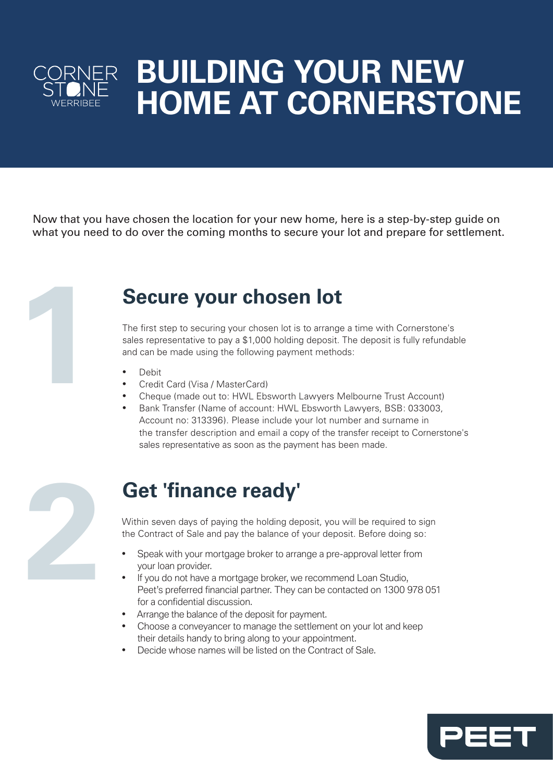

# **BUILDING YOUR NEW HOME AT CORNERSTONE**

Now that you have chosen the location for your new home, here is a step-by-step guide on what you need to do over the coming months to secure your lot and prepare for settlement.



## **Secure your chosen lot**

The first step to securing your chosen lot is to arrange a time with Cornerstone's sales representative to pay a \$1,000 holding deposit. The deposit is fully refundable and can be made using the following payment methods:

- Debit
- Credit Card (Visa / MasterCard)
- Cheque (made out to: HWL Ebsworth Lawyers Melbourne Trust Account)
- Bank Transfer (Name of account: HWL Ebsworth Lawyers, BSB: 033003, Account no: 313396). Please include your lot number and surname in the transfer description and email a copy of the transfer receipt to Cornerstone's sales representative as soon as the payment has been made.



#### **Get 'finance ready'**

Within seven days of paying the holding deposit, you will be required to sign the Contract of Sale and pay the balance of your deposit. Before doing so:

- Speak with your mortgage broker to arrange a pre-approval letter from your loan provider.
- If you do not have a mortgage broker, we recommend Loan Studio, Peet's preferred financial partner. They can be contacted on 1300 978 051 for a confidential discussion.
- Arrange the balance of the deposit for payment.
- Choose a conveyancer to manage the settlement on your lot and keep their details handy to bring along to your appointment.
- Decide whose names will be listed on the Contract of Sale.